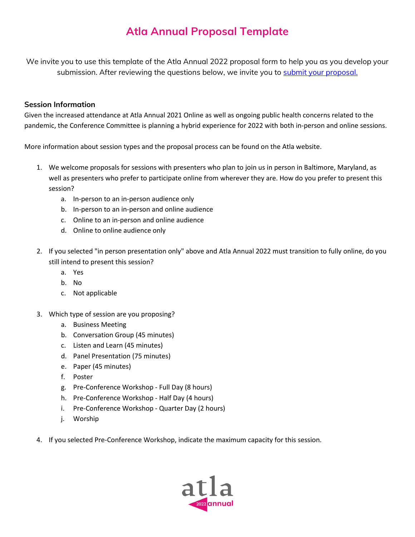## **Atla Annual Proposal Template**

We invite you to use this template of the Atla Annual 2022 proposal form to help you as you develop your submission. After reviewing the questions below, we invite you to [submit your proposal.](https://my.atla.com/NC__Login?startURL=%2Fproposals)

### **Session Information**

Given the increased attendance at Atla Annual 2021 Online as well as ongoing public health concerns related to the pandemic, the Conference Committee is planning a hybrid experience for 2022 with both in-person and online sessions.

More information about session types and the proposal process can be found on the Atla website.

- 1. We welcome proposals for sessions with presenters who plan to join us in person in Baltimore, Maryland, as well as presenters who prefer to participate online from wherever they are. How do you prefer to present this session?
	- a. In-person to an in-person audience only
	- b. In-person to an in-person and online audience
	- c. Online to an in-person and online audience
	- d. Online to online audience only
- 2. If you selected "in person presentation only" above and Atla Annual 2022 must transition to fully online, do you still intend to present this session?
	- a. Yes
	- b. No
	- c. Not applicable
- 3. Which type of session are you proposing?
	- a. Business Meeting
	- b. Conversation Group (45 minutes)
	- c. Listen and Learn (45 minutes)
	- d. Panel Presentation (75 minutes)
	- e. Paper (45 minutes)
	- f. Poster
	- g. Pre-Conference Workshop Full Day (8 hours)
	- h. Pre-Conference Workshop Half Day (4 hours)
	- i. Pre-Conference Workshop Quarter Day (2 hours)
	- j. Worship
- 4. If you selected Pre-Conference Workshop, indicate the maximum capacity for this session.

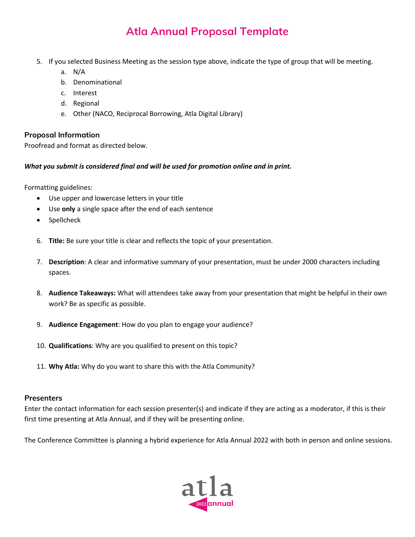# **Atla Annual Proposal Template**

- 5. If you selected Business Meeting as the session type above, indicate the type of group that will be meeting.
	- a. N/A
	- b. Denominational
	- c. Interest
	- d. Regional
	- e. Other (NACO, Reciprocal Borrowing, Atla Digital Library)

### **Proposal Information**

Proofread and format as directed below.

### *What you submit is considered final and will be used for promotion online and in print.*

Formatting guidelines:

- Use upper and lowercase letters in your title
- Use **only** a single space after the end of each sentence
- Spellcheck
- 6. **Title:** Be sure your title is clear and reflects the topic of your presentation.
- 7. **Description**: A clear and informative summary of your presentation, must be under 2000 characters including spaces.
- 8. **Audience Takeaways:** What will attendees take away from your presentation that might be helpful in their own work? Be as specific as possible.
- 9. **Audience Engagement**: How do you plan to engage your audience?
- 10. **Qualifications**: Why are you qualified to present on this topic?
- 11. **Why Atla:** Why do you want to share this with the Atla Community?

#### **Presenters**

Enter the contact information for each session presenter(s) and indicate if they are acting as a moderator, if this is their first time presenting at Atla Annual, and if they will be presenting online.

The Conference Committee is planning a hybrid experience for Atla Annual 2022 with both in person and online sessions.